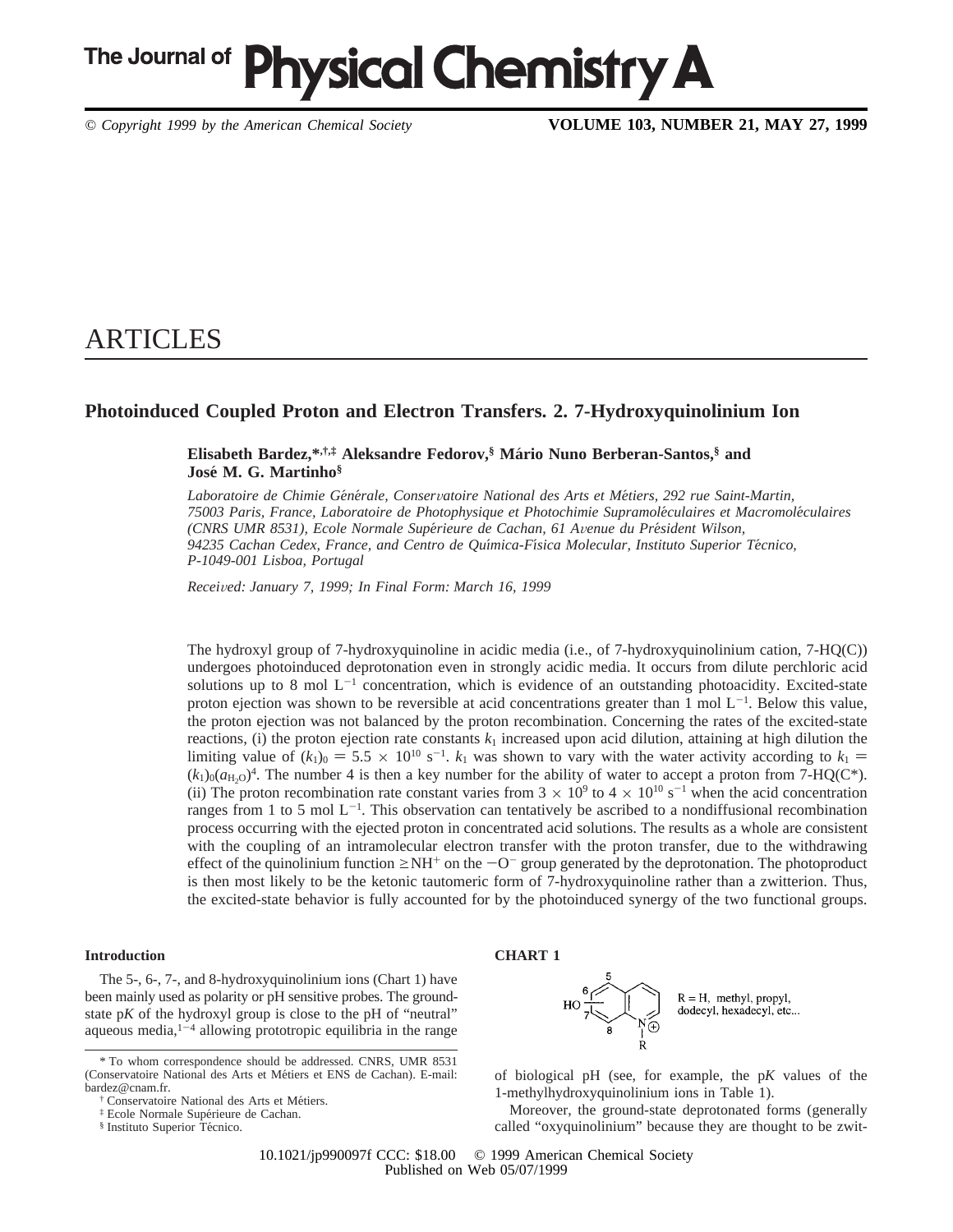# The Journal of **Physical Chemistry A**

*© Copyright 1999 by the American Chemical Society* **VOLUME 103, NUMBER 21, MAY 27, 1999**

## ARTICLES

## **Photoinduced Coupled Proton and Electron Transfers. 2. 7-Hydroxyquinolinium Ion**

## **Elisabeth Bardez,\*,†,‡ Aleksandre Fedorov,§ Ma**´**rio Nuno Berberan-Santos,§ and Jose**´ **M. G. Martinho§**

*Laboratoire de Chimie Ge*´*ne*´*rale, Conser*V*atoire National des Arts et Me*´*tiers, 292 rue Saint-Martin, 75003 Paris, France, Laboratoire de Photophysique et Photochimie Supramole*´*culaires et Macromole*´*culaires (CNRS UMR 8531), Ecole Normale Supe*´*rieure de Cachan, 61 A*V*enue du Pre*´*sident Wilson, 94235 Cachan Cedex, France, and Centro de Quı*´*mica-Fı*´*sica Molecular, Instituto Superior Te*´*cnico, P-1049-001 Lisboa, Portugal*

*Recei*V*ed: January 7, 1999; In Final Form: March 16, 1999*

The hydroxyl group of 7-hydroxyquinoline in acidic media (i.e., of 7-hydroxyquinolinium cation, 7-HQ(C)) undergoes photoinduced deprotonation even in strongly acidic media. It occurs from dilute perchloric acid solutions up to 8 mol  $L^{-1}$  concentration, which is evidence of an outstanding photoacidity. Excited-state proton ejection was shown to be reversible at acid concentrations greater than  $1 \text{ mol } L^{-1}$ . Below this value, the proton ejection was not balanced by the proton recombination. Concerning the rates of the excited-state reactions, (i) the proton ejection rate constants  $k_1$  increased upon acid dilution, attaining at high dilution the limiting value of  $(k_1)_0 = 5.5 \times 10^{10} \text{ s}^{-1}$ .  $k_1$  was shown to vary with the water activity according to  $k_1 = (k_1)_0 (a_{11})^4$ . The number 4 is then a key number for the ability of water to accept a proton from 7-HO(C  $(k_1)_0(a_{H<sub>2</sub>0})^4$ . The number 4 is then a key number for the ability of water to accept a proton from 7-HQ(C<sup>\*</sup>). (ii) The proton recombination rate constant varies from  $3 \times 10^9$  to  $4 \times 10^{10}$  s<sup>-1</sup> when the acid concentration ranges from 1 to 5 mol  $L^{-1}$ . This observation can tentatively be ascribed to a nondiffusional recombination process occurring with the ejected proton in concentrated acid solutions. The results as a whole are consistent with the coupling of an intramolecular electron transfer with the proton transfer, due to the withdrawing effect of the quinolinium function  $\geq N H^+$  on the  $-C^-$  group generated by the deprotonation. The photoproduct is then most likely to be the ketonic tautomeric form of 7-hydroxyquinoline rather than a zwitterion. Thus, the excited-state behavior is fully accounted for by the photoinduced synergy of the two functional groups.

## **Introduction**

The 5-, 6-, 7-, and 8-hydroxyquinolinium ions (Chart 1) have been mainly used as polarity or pH sensitive probes. The groundstate p*K* of the hydroxyl group is close to the pH of "neutral" aqueous media, $1-4$  allowing prototropic equilibria in the range





of biological pH (see, for example, the p*K* values of the 1-methylhydroxyquinolinium ions in Table 1).

Moreover, the ground-state deprotonated forms (generally called "oxyquinolinium" because they are thought to be zwit-

<sup>\*</sup> To whom correspondence should be addressed. CNRS, UMR 8531 (Conservatoire National des Arts et Métiers et ENS de Cachan). E-mail: bardez@cnam.fr.

t Conservatoire National des Arts et Métiers.

 ${}$ <sup>‡</sup> Ecole Normale Supérieure de Cachan.

<sup>§</sup> Instituto Superior Técnico.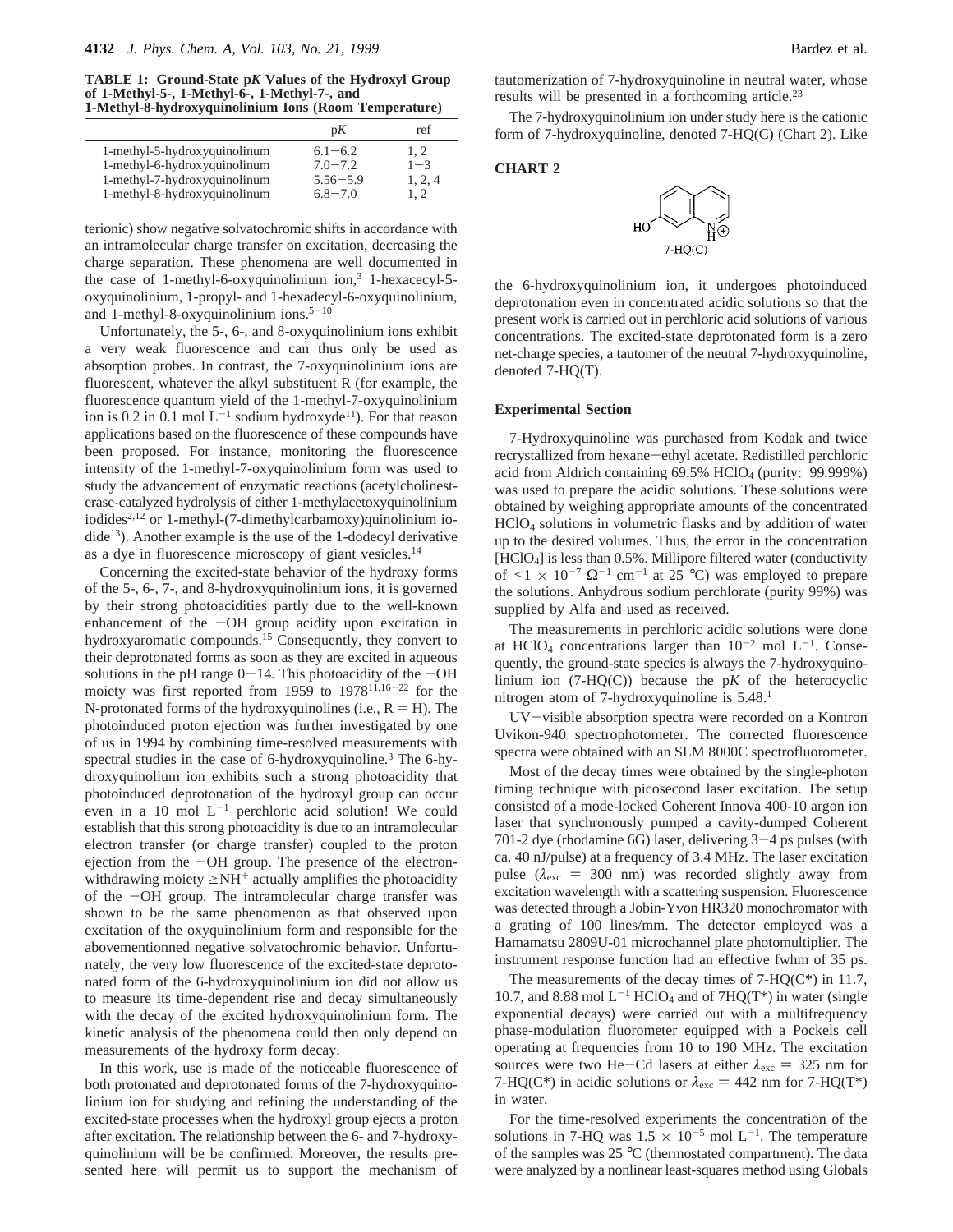**TABLE 1: Ground-State p***K* **Values of the Hydroxyl Group of 1-Methyl-5-, 1-Methyl-6-, 1-Methyl-7-, and 1-Methyl-8-hydroxyquinolinium Ions (Room Temperature)**

|                              | pK           | ref     |
|------------------------------|--------------|---------|
| 1-methyl-5-hydroxyquinolinum | $6.1 - 6.2$  | 1.2     |
| 1-methyl-6-hydroxyquinolinum | $7.0 - 7.2$  | $1 - 3$ |
| 1-methyl-7-hydroxyquinolinum | $5.56 - 5.9$ | 1, 2, 4 |
| 1-methyl-8-hydroxyquinolinum | $6.8 - 7.0$  | 1.2     |

terionic) show negative solvatochromic shifts in accordance with an intramolecular charge transfer on excitation, decreasing the charge separation. These phenomena are well documented in the case of 1-methyl-6-oxyquinolinium ion,<sup>3</sup> 1-hexacecyl-5oxyquinolinium, 1-propyl- and 1-hexadecyl-6-oxyquinolinium, and 1-methyl-8-oxyquinolinium ions. $5-10$ 

Unfortunately, the 5-, 6-, and 8-oxyquinolinium ions exhibit a very weak fluorescence and can thus only be used as absorption probes. In contrast, the 7-oxyquinolinium ions are fluorescent, whatever the alkyl substituent R (for example, the fluorescence quantum yield of the 1-methyl-7-oxyquinolinium ion is 0.2 in 0.1 mol  $L^{-1}$  sodium hydroxyde<sup>11</sup>). For that reason applications based on the fluorescence of these compounds have been proposed. For instance, monitoring the fluorescence intensity of the 1-methyl-7-oxyquinolinium form was used to study the advancement of enzymatic reactions (acetylcholinesterase-catalyzed hydrolysis of either 1-methylacetoxyquinolinium iodides<sup>2,12</sup> or 1-methyl-(7-dimethylcarbamoxy)quinolinium io $dide<sup>13</sup>$ ). Another example is the use of the 1-dodecyl derivative as a dye in fluorescence microscopy of giant vesicles.14

Concerning the excited-state behavior of the hydroxy forms of the 5-, 6-, 7-, and 8-hydroxyquinolinium ions, it is governed by their strong photoacidities partly due to the well-known enhancement of the  $-OH$  group acidity upon excitation in hydroxyaromatic compounds.15 Consequently, they convert to their deprotonated forms as soon as they are excited in aqueous solutions in the pH range  $0-14$ . This photoacidity of the  $-OH$ moiety was first reported from 1959 to 1978<sup>11,16-22</sup> for the N-protonated forms of the hydroxyquinolines (i.e.,  $R = H$ ). The photoinduced proton ejection was further investigated by one of us in 1994 by combining time-resolved measurements with spectral studies in the case of 6-hydroxyquinoline.<sup>3</sup> The 6-hydroxyquinolium ion exhibits such a strong photoacidity that photoinduced deprotonation of the hydroxyl group can occur even in a 10 mol  $L^{-1}$  perchloric acid solution! We could establish that this strong photoacidity is due to an intramolecular electron transfer (or charge transfer) coupled to the proton ejection from the  $-OH$  group. The presence of the electronwithdrawing moiety  $\geq NH^+$  actually amplifies the photoacidity of the -OH group. The intramolecular charge transfer was shown to be the same phenomenon as that observed upon excitation of the oxyquinolinium form and responsible for the abovementionned negative solvatochromic behavior. Unfortunately, the very low fluorescence of the excited-state deprotonated form of the 6-hydroxyquinolinium ion did not allow us to measure its time-dependent rise and decay simultaneously with the decay of the excited hydroxyquinolinium form. The kinetic analysis of the phenomena could then only depend on measurements of the hydroxy form decay.

In this work, use is made of the noticeable fluorescence of both protonated and deprotonated forms of the 7-hydroxyquinolinium ion for studying and refining the understanding of the excited-state processes when the hydroxyl group ejects a proton after excitation. The relationship between the 6- and 7-hydroxyquinolinium will be be confirmed. Moreover, the results presented here will permit us to support the mechanism of

tautomerization of 7-hydroxyquinoline in neutral water, whose results will be presented in a forthcoming article.<sup>23</sup>

The 7-hydroxyquinolinium ion under study here is the cationic form of 7-hydroxyquinoline, denoted 7-HQ(C) (Chart 2). Like





the 6-hydroxyquinolinium ion, it undergoes photoinduced deprotonation even in concentrated acidic solutions so that the present work is carried out in perchloric acid solutions of various concentrations. The excited-state deprotonated form is a zero net-charge species, a tautomer of the neutral 7-hydroxyquinoline, denoted 7-HQ(T).

#### **Experimental Section**

7-Hydroxyquinoline was purchased from Kodak and twice recrystallized from hexane-ethyl acetate. Redistilled perchloric acid from Aldrich containing  $69.5\%$  HClO<sub>4</sub> (purity:  $99.999\%$ ) was used to prepare the acidic solutions. These solutions were obtained by weighing appropriate amounts of the concentrated HClO4 solutions in volumetric flasks and by addition of water up to the desired volumes. Thus, the error in the concentration [HClO4] is less than 0.5%. Millipore filtered water (conductivity of  $\leq 1 \times 10^{-7} \Omega^{-1}$  cm<sup>-1</sup> at 25 °C) was employed to prepare the solutions. Anhydrous sodium perchlorate (purity 99%) was supplied by Alfa and used as received.

The measurements in perchloric acidic solutions were done at HClO<sub>4</sub> concentrations larger than  $10^{-2}$  mol L<sup>-1</sup>. Consequently, the ground-state species is always the 7-hydroxyquinolinium ion  $(7-HQ(C))$  because the pK of the heterocyclic nitrogen atom of 7-hydroxyquinoline is 5.48.<sup>1</sup>

UV-visible absorption spectra were recorded on a Kontron Uvikon-940 spectrophotometer. The corrected fluorescence spectra were obtained with an SLM 8000C spectrofluorometer.

Most of the decay times were obtained by the single-photon timing technique with picosecond laser excitation. The setup consisted of a mode-locked Coherent Innova 400-10 argon ion laser that synchronously pumped a cavity-dumped Coherent 701-2 dye (rhodamine  $6G$ ) laser, delivering  $3-4$  ps pulses (with ca. 40 nJ/pulse) at a frequency of 3.4 MHz. The laser excitation pulse  $(\lambda_{\rm exc} = 300 \text{ nm})$  was recorded slightly away from excitation wavelength with a scattering suspension. Fluorescence was detected through a Jobin-Yvon HR320 monochromator with a grating of 100 lines/mm. The detector employed was a Hamamatsu 2809U-01 microchannel plate photomultiplier. The instrument response function had an effective fwhm of 35 ps.

The measurements of the decay times of  $7-HQ(C^*)$  in 11.7, 10.7, and 8.88 mol  $L^{-1}$  HClO<sub>4</sub> and of 7HQ(T<sup>\*</sup>) in water (single exponential decays) were carried out with a multifrequency phase-modulation fluorometer equipped with a Pockels cell operating at frequencies from 10 to 190 MHz. The excitation sources were two He-Cd lasers at either  $\lambda_{\text{exc}} = 325$  nm for 7-HQ(C<sup>\*</sup>) in acidic solutions or  $\lambda_{\rm exc} = 442$  nm for 7-HQ(T<sup>\*</sup>) in water.

For the time-resolved experiments the concentration of the solutions in 7-HQ was  $1.5 \times 10^{-5}$  mol L<sup>-1</sup>. The temperature of the samples was 25 °C (thermostated compartment). The data were analyzed by a nonlinear least-squares method using Globals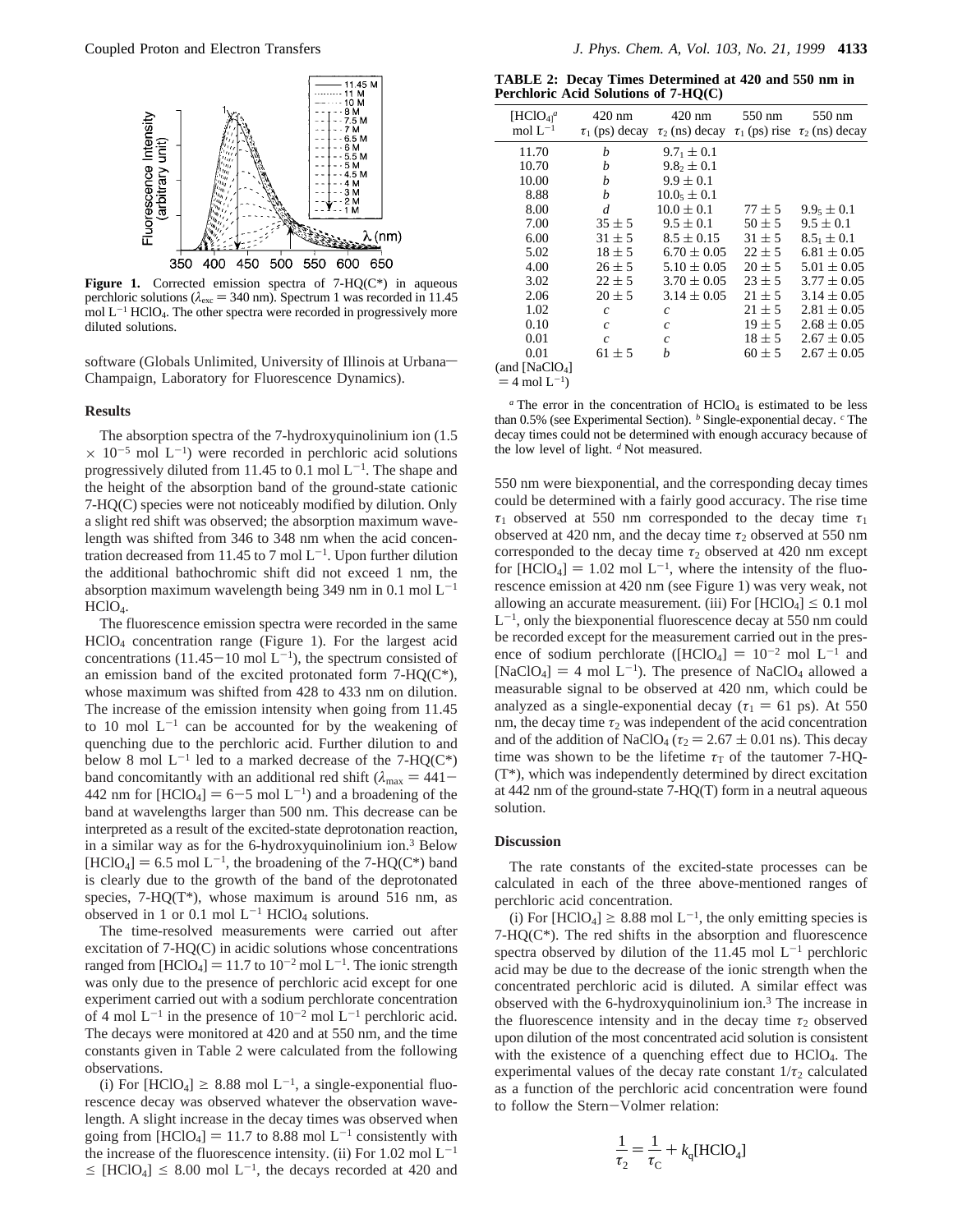

Figure 1. Corrected emission spectra of 7-HQ(C\*) in aqueous perchloric solutions ( $\lambda_{\text{exc}}$  = 340 nm). Spectrum 1 was recorded in 11.45 mol  $L^{-1}$  HClO<sub>4</sub>. The other spectra were recorded in progressively more diluted solutions.

software (Globals Unlimited, University of Illinois at Urbana-Champaign, Laboratory for Fluorescence Dynamics).

## **Results**

The absorption spectra of the 7-hydroxyquinolinium ion (1.5  $\times$  10<sup>-5</sup> mol L<sup>-1</sup>) were recorded in perchloric acid solutions progressively diluted from 11.45 to 0.1 mol  $L^{-1}$ . The shape and the height of the absorption band of the ground-state cationic 7-HQ(C) species were not noticeably modified by dilution. Only a slight red shift was observed; the absorption maximum wavelength was shifted from 346 to 348 nm when the acid concentration decreased from 11.45 to 7 mol  $L^{-1}$ . Upon further dilution the additional bathochromic shift did not exceed 1 nm, the absorption maximum wavelength being 349 nm in 0.1 mol  $L^{-1}$ HClO<sub>4</sub>.

The fluorescence emission spectra were recorded in the same HClO4 concentration range (Figure 1). For the largest acid concentrations (11.45-10 mol  $L^{-1}$ ), the spectrum consisted of an emission band of the excited protonated form  $7-HQ(C<sup>*</sup>)$ , whose maximum was shifted from 428 to 433 nm on dilution. The increase of the emission intensity when going from 11.45 to 10 mol  $L^{-1}$  can be accounted for by the weakening of quenching due to the perchloric acid. Further dilution to and below 8 mol  $L^{-1}$  led to a marked decrease of the 7-HQ(C\*) band concomitantly with an additional red shift ( $\lambda_{\text{max}} = 441 -$ 442 nm for  $[HClO_4] = 6-5$  mol  $L^{-1}$ ) and a broadening of the band at wavelengths larger than 500 nm. This decrease can be interpreted as a result of the excited-state deprotonation reaction, in a similar way as for the 6-hydroxyquinolinium ion.3 Below  $[HClO<sub>4</sub>] = 6.5$  mol  $L^{-1}$ , the broadening of the 7-HQ(C\*) band is clearly due to the growth of the band of the deprotonated species,  $7-HQ(T*)$ , whose maximum is around 516 nm, as observed in 1 or 0.1 mol  $L^{-1}$  HClO<sub>4</sub> solutions.

The time-resolved measurements were carried out after excitation of 7-HQ(C) in acidic solutions whose concentrations ranged from  $[HClO_4] = 11.7$  to  $10^{-2}$  mol L<sup>-1</sup>. The ionic strength was only due to the presence of perchloric acid except for one experiment carried out with a sodium perchlorate concentration of 4 mol  $L^{-1}$  in the presence of  $10^{-2}$  mol  $L^{-1}$  perchloric acid. The decays were monitored at 420 and at 550 nm, and the time constants given in Table 2 were calculated from the following observations.

(i) For [HClO<sub>4</sub>]  $\geq$  8.88 mol L<sup>-1</sup>, a single-exponential fluorescence decay was observed whatever the observation wavelength. A slight increase in the decay times was observed when going from  $[HClO_4] = 11.7$  to 8.88 mol L<sup>-1</sup> consistently with the increase of the fluorescence intensity. (ii) For 1.02 mol  $L^{-1}$  $\leq$  [HClO<sub>4</sub>]  $\leq$  8.00 mol L<sup>-1</sup>, the decays recorded at 420 and

**TABLE 2: Decay Times Determined at 420 and 550 nm in Perchloric Acid Solutions of 7-HQ(C)**

| $[\text{HClO}_{4]}\textsuperscript{a}$<br>mol $L^{-1}$ | 420 nm<br>$\tau_1$ (ps) decay | 420 nm<br>$\tau_2$ (ns) decay | 550 nm     | 550 nm<br>$\tau_1$ (ps) rise $\tau_2$ (ns) decay |
|--------------------------------------------------------|-------------------------------|-------------------------------|------------|--------------------------------------------------|
| 11.70                                                  | h                             | $9.7_1 \pm 0.1$               |            |                                                  |
| 10.70                                                  | b                             | $9.8_2 \pm 0.1$               |            |                                                  |
| 10.00                                                  | b                             | $9.9 \pm 0.1$                 |            |                                                  |
| 8.88                                                   | h                             | $10.05 \pm 0.1$               |            |                                                  |
| 8.00                                                   | d                             | $10.0 \pm 0.1$                | $77 \pm 5$ | $9.95 \pm 0.1$                                   |
| 7.00                                                   | $35 \pm 5$                    | $9.5 \pm 0.1$                 | $50 \pm 5$ | $9.5 \pm 0.1$                                    |
| 6.00                                                   | $31 \pm 5$                    | $8.5 \pm 0.15$                | $31 \pm 5$ | $8.5_1 \pm 0.1$                                  |
| 5.02                                                   | $18 \pm 5$                    | $6.70 \pm 0.05$               | $22 \pm 5$ | $6.81 \pm 0.05$                                  |
| 4.00                                                   | $26 \pm 5$                    | $5.10 \pm 0.05$               | $20 \pm 5$ | $5.01 \pm 0.05$                                  |
| 3.02                                                   | $22 \pm 5$                    | $3.70 \pm 0.05$               | $23 \pm 5$ | $3.77 \pm 0.05$                                  |
| 2.06                                                   | $20 \pm 5$                    | $3.14 \pm 0.05$               | $21 \pm 5$ | $3.14 \pm 0.05$                                  |
| 1.02                                                   | $\mathfrak{c}$                | $\mathcal{C}_{0}^{(n)}$       | $21 \pm 5$ | $2.81 \pm 0.05$                                  |
| 0.10                                                   | $\mathcal{C}$                 | $\mathfrak c$                 | $19 \pm 5$ | $2.68 \pm 0.05$                                  |
| 0.01                                                   | $\mathcal{C}$                 | $\mathcal{C}_{0}^{(n)}$       | $18 \pm 5$ | $2.67 \pm 0.05$                                  |
| 0.01                                                   | $61 \pm 5$                    | h                             | $60 \pm 5$ | $2.67 \pm 0.05$                                  |
| (and [NaClO <sub>4</sub> ]                             |                               |                               |            |                                                  |
|                                                        |                               |                               |            |                                                  |

 $=$  4 mol  $L^{-1}$ )

 $a$  The error in the concentration of  $HClO<sub>4</sub>$  is estimated to be less than 0.5% (see Experimental Section). *<sup>b</sup>* Single-exponential decay. *<sup>c</sup>* The decay times could not be determined with enough accuracy because of the low level of light. *<sup>d</sup>* Not measured.

550 nm were biexponential, and the corresponding decay times could be determined with a fairly good accuracy. The rise time *τ*<sup>1</sup> observed at 550 nm corresponded to the decay time *τ*<sup>1</sup> observed at 420 nm, and the decay time  $\tau_2$  observed at 550 nm corresponded to the decay time  $\tau_2$  observed at 420 nm except for  $[HClO_4] = 1.02$  mol  $L^{-1}$ , where the intensity of the fluorescence emission at 420 nm (see Figure 1) was very weak, not allowing an accurate measurement. (iii) For  $[HCIO_4] \leq 0.1$  mol  $L^{-1}$ , only the biexponential fluorescence decay at 550 nm could be recorded except for the measurement carried out in the presence of sodium perchlorate ([HClO<sub>4</sub>] =  $10^{-2}$  mol L<sup>-1</sup> and [NaClO<sub>4</sub>] = 4 mol L<sup>-1</sup>). The presence of NaClO<sub>4</sub> allowed a measurable signal to be observed at 420 nm, which could be analyzed as a single-exponential decay ( $\tau_1 = 61$  ps). At 550 nm, the decay time  $\tau_2$  was independent of the acid concentration and of the addition of NaClO<sub>4</sub> ( $\tau_2 = 2.67 \pm 0.01$  ns). This decay time was shown to be the lifetime  $\tau$ <sup>T</sup> of the tautomer 7-HQ-(T\*), which was independently determined by direct excitation at 442 nm of the ground-state 7-HQ(T) form in a neutral aqueous solution.

#### **Discussion**

The rate constants of the excited-state processes can be calculated in each of the three above-mentioned ranges of perchloric acid concentration.

(i) For [HClO<sub>4</sub>]  $\geq$  8.88 mol L<sup>-1</sup>, the only emitting species is 7-HQ(C\*). The red shifts in the absorption and fluorescence spectra observed by dilution of the 11.45 mol  $L^{-1}$  perchloric acid may be due to the decrease of the ionic strength when the concentrated perchloric acid is diluted. A similar effect was observed with the 6-hydroxyquinolinium ion.3 The increase in the fluorescence intensity and in the decay time  $\tau_2$  observed upon dilution of the most concentrated acid solution is consistent with the existence of a quenching effect due to  $HClO<sub>4</sub>$ . The experimental values of the decay rate constant  $1/\tau_2$  calculated as a function of the perchloric acid concentration were found to follow the Stern-Volmer relation:

$$
\frac{1}{\tau_2} = \frac{1}{\tau_{\rm C}} + k_{\rm q}[\text{HClO}_4]
$$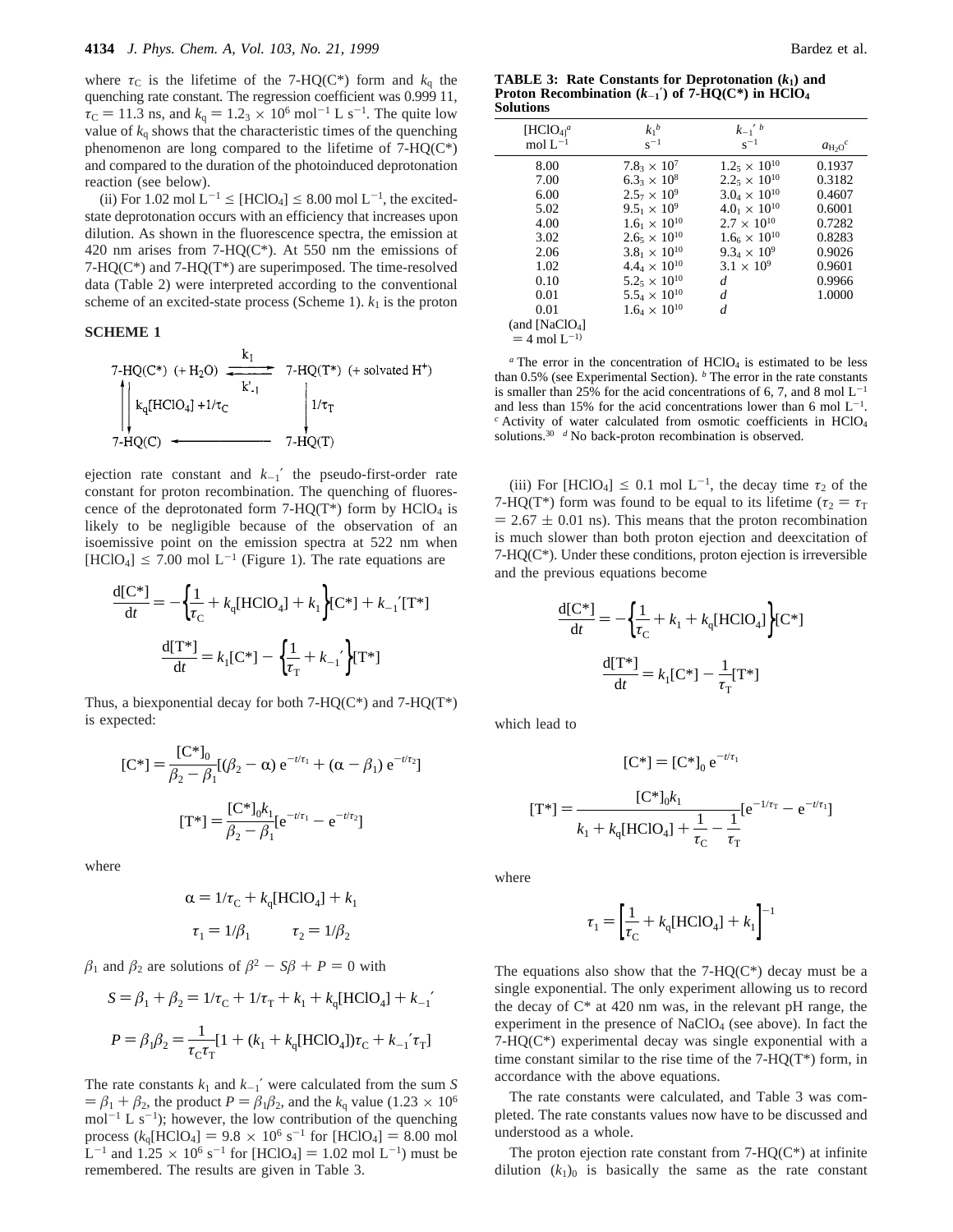where  $\tau_c$  is the lifetime of the 7-HQ(C<sup>\*</sup>) form and  $k_q$  the quenching rate constant. The regression coefficient was 0.999 11,  $\tau_C = 11.3$  ns, and  $k_q = 1.23 \times 10^6$  mol<sup>-1</sup> L s<sup>-1</sup>. The quite low value of  $k_q$  shows that the characteristic times of the quenching phenomenon are long compared to the lifetime of 7-HQ(C\*) and compared to the duration of the photoinduced deprotonation reaction (see below).

(ii) For 1.02 mol  $L^{-1} \leq [HClO_4] \leq 8.00$  mol  $L^{-1}$ , the excitedstate deprotonation occurs with an efficiency that increases upon dilution. As shown in the fluorescence spectra, the emission at 420 nm arises from  $7-HQ(C^*)$ . At 550 nm the emissions of  $7-HQ(C*)$  and  $7-HQ(T*)$  are superimposed. The time-resolved data (Table 2) were interpreted according to the conventional scheme of an excited-state process (Scheme 1).  $k_1$  is the proton

## **SCHEME 1**

7-HQ(C\*) (+ H<sub>2</sub>O) 
$$
\xrightarrow{k_1}
$$
 7-HQ(T\*) (+ solvated H<sup>+</sup>)  
\n
$$
\begin{array}{c|c}\n k_1 HClO_4] + 1/\tau_C & 1/\tau_T \\
7-HQ(C) & 7-HQ(T)\n\end{array}
$$

ejection rate constant and  $k_{-1}'$  the pseudo-first-order rate constant for proton recombination. The quenching of fluorescence of the deprotonated form  $7-HQ(T^*)$  form by  $HClO<sub>4</sub>$  is likely to be negligible because of the observation of an isoemissive point on the emission spectra at 522 nm when  $[HClO<sub>4</sub>] \le 7.00$  mol L<sup>-1</sup> (Figure 1). The rate equations are

$$
\frac{d[C^*]}{dt} = -\left\{\frac{1}{\tau_C} + k_q[HClO_4] + k_1\right\}[C^*] + k_{-1}'[T^*]
$$

$$
\frac{d[T^*]}{dt} = k_1[C^*] - \left\{\frac{1}{\tau_T} + k_{-1}'\right\}[T^*]
$$

Thus, a biexponential decay for both  $7-HQ(C^*)$  and  $7-HQ(T^*)$ is expected:

$$
[C^*] = \frac{[C^*]_0}{\beta_2 - \beta_1} [(\beta_2 - \alpha) e^{-t/\tau_1} + (\alpha - \beta_1) e^{-t/\tau_2}]
$$

$$
[T^*] = \frac{[C^*]_0 k_1}{\beta_2 - \beta_1} [e^{-t/\tau_1} - e^{-t/\tau_2}]
$$

where

$$
\alpha = 1/\tau_{\rm C} + k_{\rm q}[{\rm HClO}_4] + k_1
$$

$$
\tau_1 = 1/\beta_1 \qquad \tau_2 = 1/\beta_2
$$

 $\beta_1$  and  $\beta_2$  are solutions of  $\beta^2 - S\beta + P = 0$  with

$$
S = \beta_1 + \beta_2 = 1/\tau_C + 1/\tau_T + k_1 + k_q[HClO_4] + k_{-1}'
$$

$$
P = \beta_1 \beta_2 = \frac{1}{\tau_C \tau_T} [1 + (k_1 + k_q[HClO_4])\tau_C + k_{-1}'\tau_T]
$$

The rate constants  $k_1$  and  $k_{-1}$ <sup>'</sup> were calculated from the sum *S*  $= \beta_1 + \beta_2$ , the product  $P = \beta_1 \beta_2$ , and the  $k_q$  value (1.23 × 10<sup>6</sup>) mol<sup>-1</sup> L s<sup>-1</sup>); however, the low contribution of the quenching process ( $k_q$ [HClO<sub>4</sub>] = 9.8 × 10<sup>6</sup> s<sup>-1</sup> for [HClO<sub>4</sub>] = 8.00 mol  $L^{-1}$  and  $1.25 \times 10^6$  s<sup>-1</sup> for [HClO<sub>4</sub>] = 1.02 mol L<sup>-1</sup>) must be remembered. The results are given in Table 3.

**TABLE 3: Rate Constants for Deprotonation (***k***1) and Proton Recombination**  $(k_{-1}')$  of 7-HQ(C\*) in HClO<sub>4</sub> **Solutions**

| $[\text{HClO}_{4]}\textsuperscript{a}$ | $k_1^b$                                      | $k_{-1}$ ' b           |          |
|----------------------------------------|----------------------------------------------|------------------------|----------|
| mol $L^{-1}$                           | $s^{-1}$                                     | $s^{-1}$               | $a_{H2}$ |
| 8.00                                   | $7.83 \times 10^{7}$                         | $1.25 \times 10^{10}$  | 0.1937   |
| 7.00                                   | $6.3_3 \times 10^8$                          | $2.2_5 \times 10^{10}$ | 0.3182   |
| 6.00                                   | $2.5_7 \times 10^9$                          | $3.0_4 \times 10^{10}$ | 0.4607   |
| 5.02                                   | $9.5_1 \times 10^9$                          | $4.0_1 \times 10^{10}$ | 0.6001   |
| 4.00                                   | $1.6_1 \times 10^{10}$                       | $2.7 \times 10^{10}$   | 0.7282   |
| 3.02                                   | $2.6$ <sub>5</sub> $\times$ 10 <sup>10</sup> | $1.6_6 \times 10^{10}$ | 0.8283   |
| 2.06                                   | $3.8_1 \times 10^{10}$                       | $9.34 \times 10^{9}$   | 0.9026   |
| 1.02                                   | $4.4_4 \times 10^{10}$                       | $3.1 \times 10^{9}$    | 0.9601   |
| 0.10                                   | $5.2_5 \times 10^{10}$                       | d                      | 0.9966   |
| 0.01                                   | $5.5_4 \times 10^{10}$                       | d                      | 1.0000   |
| 0.01                                   | $1.6_4 \times 10^{10}$                       | d                      |          |
| (and $[NaClO4]$                        |                                              |                        |          |
| $=$ 4 mol L <sup>-1)</sup>             |                                              |                        |          |

 $a$ <sup>n</sup> The error in the concentration of HClO<sub>4</sub> is estimated to be less than 0.5% (see Experimental Section). *<sup>b</sup>* The error in the rate constants is smaller than 25% for the acid concentrations of 6, 7, and 8 mol  $L^{-1}$ and less than 15% for the acid concentrations lower than 6 mol  $L^{-1}$ . *<sup>c</sup>* Activity of water calculated from osmotic coefficients in HClO4 solutions.<sup>30</sup> *d* No back-proton recombination is observed.

(iii) For [HClO<sub>4</sub>]  $\leq$  0.1 mol L<sup>-1</sup>, the decay time  $\tau_2$  of the 7-HQ(T<sup>\*</sup>) form was found to be equal to its lifetime ( $\tau_2 = \tau_T$  $= 2.67 \pm 0.01$  ns). This means that the proton recombination is much slower than both proton ejection and deexcitation of 7-HQ(C\*). Under these conditions, proton ejection is irreversible and the previous equations become

$$
\frac{\mathrm{d}[C^*]}{\mathrm{d}t} = -\left\{\frac{1}{\tau_C} + k_1 + k_q[\text{HClO}_4]\right\} [C^*]
$$

$$
\frac{\mathrm{d}[T^*]}{\mathrm{d}t} = k_1 [C^*] - \frac{1}{\tau_T} [T^*]
$$

which lead to

$$
[\mathbf{C}^*] = [\mathbf{C}^*]_0 e^{-t/\tau_1}
$$

$$
[\mathbf{T}^*] = \frac{[\mathbf{C}^*]_0 k_1}{k_1 + k_q [\text{HClO}_4] + \frac{1}{\tau_{\text{C}}} - \frac{1}{\tau_{\text{T}}}} [\text{e}^{-1/\tau_{\text{T}}} - \text{e}^{-t/\tau_1}]
$$

where

$$
\tau_1 = \left[\frac{1}{\tau_{\rm C}} + k_{\rm q}[\text{HClO}_4] + k_1\right]^{-1}
$$

The equations also show that the  $7-HQ(C^*)$  decay must be a single exponential. The only experiment allowing us to record the decay of  $C^*$  at 420 nm was, in the relevant pH range, the experiment in the presence of NaClO<sub>4</sub> (see above). In fact the 7-HQ(C\*) experimental decay was single exponential with a time constant similar to the rise time of the  $7-HQ(T^*)$  form, in accordance with the above equations.

The rate constants were calculated, and Table 3 was completed. The rate constants values now have to be discussed and understood as a whole.

The proton ejection rate constant from  $7-HQ(C^*)$  at infinite dilution  $(k_1)_0$  is basically the same as the rate constant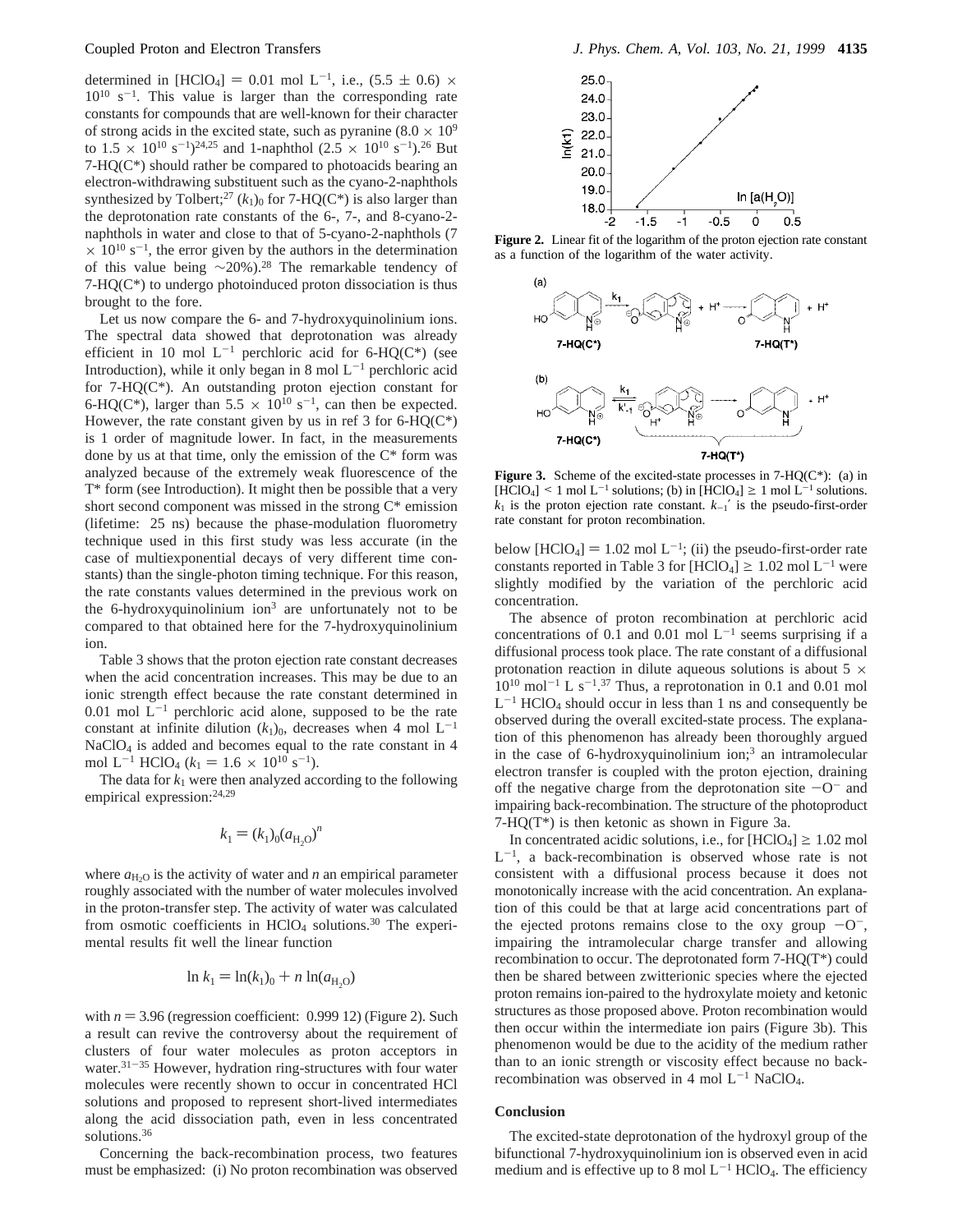determined in [HClO<sub>4</sub>] = 0.01 mol L<sup>-1</sup>, i.e.,  $(5.5 \pm 0.6) \times$  $10^{10}$  s<sup>-1</sup>. This value is larger than the corresponding rate constants for compounds that are well-known for their character of strong acids in the excited state, such as pyranine  $(8.0 \times 10^9)$ to  $1.5 \times 10^{10}$  s<sup>-1</sup>)<sup>24,25</sup> and 1-naphthol  $(2.5 \times 10^{10}$  s<sup>-1</sup>)<sup>26</sup> But  $7-HQ(C*)$  should rather be compared to photoacids bearing an electron-withdrawing substituent such as the cyano-2-naphthols synthesized by Tolbert;<sup>27</sup> ( $k_1$ )<sub>0</sub> for 7-HQ(C<sup>\*</sup>) is also larger than the deprotonation rate constants of the 6-, 7-, and 8-cyano-2 naphthols in water and close to that of 5-cyano-2-naphthols (7  $\times$  10<sup>10</sup> s<sup>-1</sup>, the error given by the authors in the determination of this value being ∼20%).28 The remarkable tendency of 7-HQ(C\*) to undergo photoinduced proton dissociation is thus brought to the fore.

Let us now compare the 6- and 7-hydroxyquinolinium ions. The spectral data showed that deprotonation was already efficient in 10 mol  $L^{-1}$  perchloric acid for 6-HQ(C\*) (see Introduction), while it only began in 8 mol  $L^{-1}$  perchloric acid for 7-HQ(C\*). An outstanding proton ejection constant for 6-HQ(C\*), larger than  $5.5 \times 10^{10}$  s<sup>-1</sup>, can then be expected. However, the rate constant given by us in ref 3 for  $6-HQ(C^*)$ is 1 order of magnitude lower. In fact, in the measurements done by us at that time, only the emission of the C\* form was analyzed because of the extremely weak fluorescence of the T\* form (see Introduction). It might then be possible that a very short second component was missed in the strong  $C^*$  emission (lifetime: 25 ns) because the phase-modulation fluorometry technique used in this first study was less accurate (in the case of multiexponential decays of very different time constants) than the single-photon timing technique. For this reason, the rate constants values determined in the previous work on the 6-hydroxyquinolinium ion<sup>3</sup> are unfortunately not to be compared to that obtained here for the 7-hydroxyquinolinium ion.

Table 3 shows that the proton ejection rate constant decreases when the acid concentration increases. This may be due to an ionic strength effect because the rate constant determined in  $0.01$  mol  $L^{-1}$  perchloric acid alone, supposed to be the rate constant at infinite dilution  $(k_1)_0$ , decreases when 4 mol L<sup>-1</sup> NaClO4 is added and becomes equal to the rate constant in 4 mol L<sup>-1</sup> HClO<sub>4</sub> ( $k_1 = 1.6 \times 10^{10}$  s<sup>-1</sup>).

The data for  $k_1$  were then analyzed according to the following empirical expression:<sup>24,29</sup>

$$
k_1 = (k_1)_0 (a_{\text{H}_2\text{O}})^n
$$

where  $a_{\text{H}_2O}$  is the activity of water and *n* an empirical parameter roughly associated with the number of water molecules involved in the proton-transfer step. The activity of water was calculated from osmotic coefficients in  $HCIO<sub>4</sub>$  solutions.<sup>30</sup> The experimental results fit well the linear function

$$
\ln k_1 = \ln(k_1)_0 + n \ln(a_{\text{H}_2\text{O}})
$$

with  $n = 3.96$  (regression coefficient: 0.999 12) (Figure 2). Such a result can revive the controversy about the requirement of clusters of four water molecules as proton acceptors in water. $31-35$  However, hydration ring-structures with four water molecules were recently shown to occur in concentrated HCl solutions and proposed to represent short-lived intermediates along the acid dissociation path, even in less concentrated solutions.<sup>36</sup>

Concerning the back-recombination process, two features must be emphasized: (i) No proton recombination was observed



**Figure 2.** Linear fit of the logarithm of the proton ejection rate constant as a function of the logarithm of the water activity.



**Figure 3.** Scheme of the excited-state processes in 7-HQ( $C^*$ ): (a) in  $[\hat{H}ClO_4] \le 1$  mol  $L^{-1}$  solutions; (b) in  $[\hat{H}ClO_4] \ge 1$  mol  $L^{-1}$  solutions.  $k_1$  is the proton ejection rate constant.  $k_{-1}$ <sup>'</sup> is the pseudo-first-order rate constant for proton recombination.

below  $[HClO_4] = 1.02$  mol  $L^{-1}$ ; (ii) the pseudo-first-order rate constants reported in Table 3 for  $[HCIO_4] \ge 1.02$  mol L<sup>-1</sup> were slightly modified by the variation of the perchloric acid concentration.

The absence of proton recombination at perchloric acid concentrations of 0.1 and 0.01 mol  $L^{-1}$  seems surprising if a diffusional process took place. The rate constant of a diffusional protonation reaction in dilute aqueous solutions is about 5  $\times$  $10^{10}$  mol<sup>-1</sup> L s<sup>-1</sup>.<sup>37</sup> Thus, a reprotonation in 0.1 and 0.01 mol  $L^{-1}$  HClO<sub>4</sub> should occur in less than 1 ns and consequently be observed during the overall excited-state process. The explanation of this phenomenon has already been thoroughly argued in the case of 6-hydroxyquinolinium ion;<sup>3</sup> an intramolecular electron transfer is coupled with the proton ejection, draining off the negative charge from the deprotonation site  $-O^-$  and impairing back-recombination. The structure of the photoproduct 7-HQ(T\*) is then ketonic as shown in Figure 3a.

In concentrated acidic solutions, i.e., for  $[HClO_4] \ge 1.02$  mol  $L^{-1}$ , a back-recombination is observed whose rate is not consistent with a diffusional process because it does not monotonically increase with the acid concentration. An explanation of this could be that at large acid concentrations part of the ejected protons remains close to the oxy group  $-0^-$ , impairing the intramolecular charge transfer and allowing recombination to occur. The deprotonated form 7-HQ(T\*) could then be shared between zwitterionic species where the ejected proton remains ion-paired to the hydroxylate moiety and ketonic structures as those proposed above. Proton recombination would then occur within the intermediate ion pairs (Figure 3b). This phenomenon would be due to the acidity of the medium rather than to an ionic strength or viscosity effect because no backrecombination was observed in 4 mol  $L^{-1}$  NaClO<sub>4</sub>.

## **Conclusion**

The excited-state deprotonation of the hydroxyl group of the bifunctional 7-hydroxyquinolinium ion is observed even in acid medium and is effective up to 8 mol  $L^{-1}$  HClO<sub>4</sub>. The efficiency